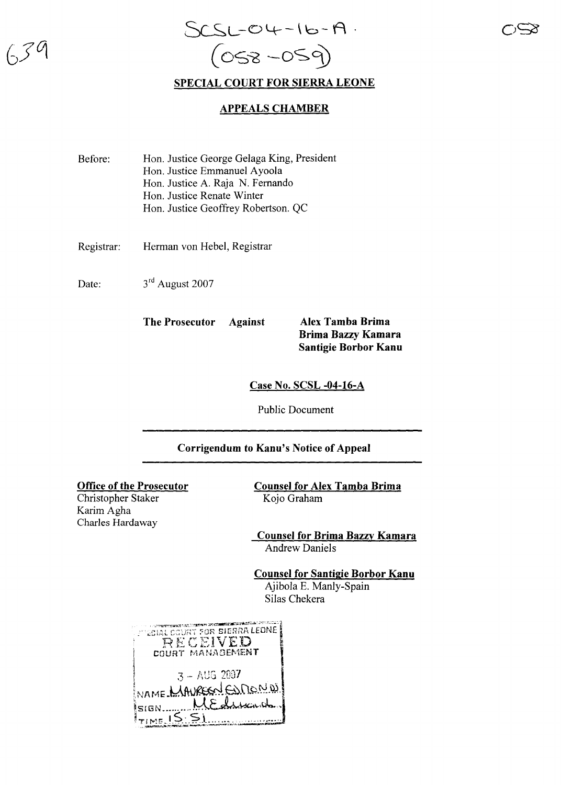

## **SPECIAL COURT FOR SIERRA LEONE**

## **APPEALS CHAMBER**

| Before: | Hon. Justice George Gelaga King, President |
|---------|--------------------------------------------|
|         | Hon. Justice Emmanuel Ayoola               |
|         | Hon. Justice A. Raja N. Fernando           |
|         | Hon. Justice Renate Winter                 |
|         | Hon. Justice Geoffrey Robertson. QC        |
|         |                                            |

Registrar: Herman von Hebel, Registrar

Date: 3rd August 2007

**The Prosecutor Against Alex Tamba Brima**

**Brima Bazzy Kamara Santigie Borbor Kanu**

**Case No. SCSL -04-16-A**

Public Document

## **Corrigendum to Kanu's Notice of Appeal**

## **Office of the Prosecutor**

Christopher Staker Karim Agha Charles Hardaway

**Counsel for Alex Tamba Brima** Kojo Graham

**Counsel for Brima Bazzy Kamara** Andrew Daniels

**Counsel for Santigie Borbor Kanu** Ajibola E. Manly-Spain

Silas Chekera